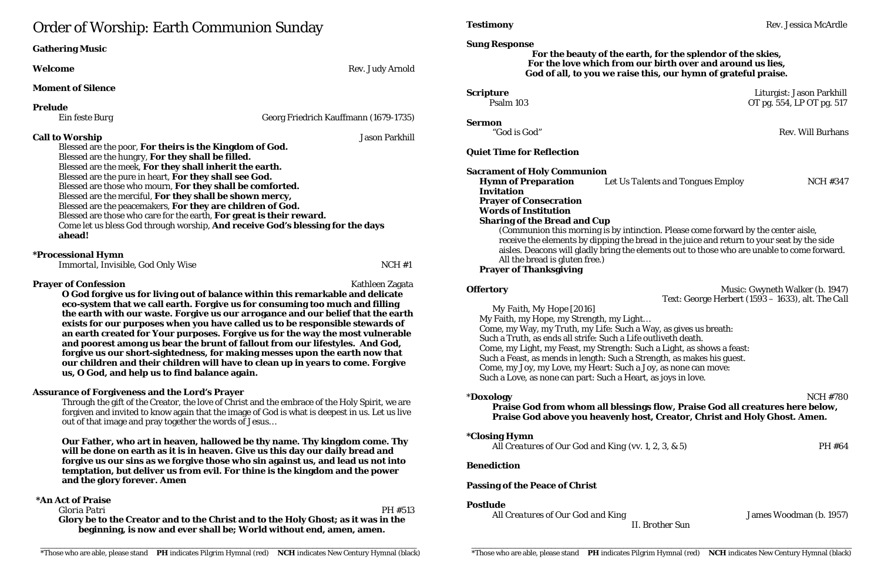# Order of Worship: Earth Communion Sunday

| <b>Gathering Music</b>                                                                                                                                                                                                                                                                                                                                                                                                                                                                                                                                                                                                                          |                                                                                                                                                                                                                                                                                                                                                                                                                                                                                                                                                                                                                                                                                            |
|-------------------------------------------------------------------------------------------------------------------------------------------------------------------------------------------------------------------------------------------------------------------------------------------------------------------------------------------------------------------------------------------------------------------------------------------------------------------------------------------------------------------------------------------------------------------------------------------------------------------------------------------------|--------------------------------------------------------------------------------------------------------------------------------------------------------------------------------------------------------------------------------------------------------------------------------------------------------------------------------------------------------------------------------------------------------------------------------------------------------------------------------------------------------------------------------------------------------------------------------------------------------------------------------------------------------------------------------------------|
| Welcome                                                                                                                                                                                                                                                                                                                                                                                                                                                                                                                                                                                                                                         | Rev. Judy Arnold                                                                                                                                                                                                                                                                                                                                                                                                                                                                                                                                                                                                                                                                           |
| <b>Moment of Silence</b>                                                                                                                                                                                                                                                                                                                                                                                                                                                                                                                                                                                                                        |                                                                                                                                                                                                                                                                                                                                                                                                                                                                                                                                                                                                                                                                                            |
| <b>Prelude</b>                                                                                                                                                                                                                                                                                                                                                                                                                                                                                                                                                                                                                                  |                                                                                                                                                                                                                                                                                                                                                                                                                                                                                                                                                                                                                                                                                            |
| <b>Ein feste Burg</b>                                                                                                                                                                                                                                                                                                                                                                                                                                                                                                                                                                                                                           | Georg Friedrich Kauffmann (1679-1735)                                                                                                                                                                                                                                                                                                                                                                                                                                                                                                                                                                                                                                                      |
| <b>Jason Parkhill</b><br><b>Call to Worship</b><br>Blessed are the poor, For theirs is the Kingdom of God.<br>Blessed are the hungry, For they shall be filled.<br>Blessed are the meek, For they shall inherit the earth.<br>Blessed are the pure in heart, For they shall see God.<br>Blessed are those who mourn, For they shall be comforted.<br>Blessed are the merciful, For they shall be shown mercy,<br>Blessed are the peacemakers, For they are children of God.<br>Blessed are those who care for the earth, For great is their reward.<br>Come let us bless God through worship, And receive God's blessing for the days<br>ahead! |                                                                                                                                                                                                                                                                                                                                                                                                                                                                                                                                                                                                                                                                                            |
| <i><b>*Processional Hymn</b></i><br>Immortal, Invisible, God Only Wise                                                                                                                                                                                                                                                                                                                                                                                                                                                                                                                                                                          | NCH#1                                                                                                                                                                                                                                                                                                                                                                                                                                                                                                                                                                                                                                                                                      |
| <b>Prayer of Confession</b><br>us, O God, and help us to find balance again.                                                                                                                                                                                                                                                                                                                                                                                                                                                                                                                                                                    | Kathleen Zagata<br>O God forgive us for living out of balance within this remarkable and delicate<br>eco-system that we call earth. Forgive us for consuming too much and filling<br>the earth with our waste. Forgive us our arrogance and our belief that the earth<br>exists for our purposes when you have called us to be responsible stewards of<br>an earth created for Your purposes. Forgive us for the way the most vulnerable<br>and poorest among us bear the brunt of fallout from our lifestyles. And God,<br>forgive us our short-sightedness, for making messes upon the earth now that<br>our children and their children will have to clean up in years to come. Forgive |
| <b>Assurance of Forgiveness and the Lord's Prayer</b>                                                                                                                                                                                                                                                                                                                                                                                                                                                                                                                                                                                           |                                                                                                                                                                                                                                                                                                                                                                                                                                                                                                                                                                                                                                                                                            |

**Scripture** Liturgist: Jason Parkhill Psalm 103 OT pg. 554, LP OT pg. 517

**Offertory** Music: Gwyneth Walker (b. 1947) Text: George Herbert (1593 – 1633), alt. *The Call*

Through the gift of the Creator, the love of Christ and the embrace of the Holy Spirit, we are forgiven and invited to know again that the image of God is what is deepest in us. Let us live out of that image and pray together the words of Jesus…

**Our Father, who art in heaven, hallowed be thy name. Thy kingdom come. Thy will be done on earth as it is in heaven. Give us this day our daily bread and forgive us our sins as we forgive those who sin against us, and lead us not into temptation, but deliver us from evil. For thine is the kingdom and the power and the glory forever. Amen**

#### **\*An Act of Praise**

*Gloria Patri* PH #513 **Glory be to the Creator and to the Christ and to the Holy Ghost; as it was in the beginning, is now and ever shall be; World without end, amen, amen.**

**Sung Response**

### **For the beauty of the earth, for the splendor of the skies, For the love which from our birth over and around us lies, God of all, to you we raise this, our hymn of grateful praise.**

**Sermon**

"God is God" Rev. Will Burhans

#### **Quiet Time for Reflection**

**Sacrament of Holy Communion Hymn of Preparation** *Let Us Talents and Tongues Employ* NCH #347 **Invitation Prayer of Consecration Words of Institution Sharing of the Bread and Cup** (Communion this morning is by intinction. Please come forward by the center aisle, receive the elements by dipping the bread in the juice and return to your seat by the side aisles. Deacons will gladly bring the elements out to those who are unable to come forward. All the bread is gluten free.)

#### **Prayer of Thanksgiving**

*My Faith, My Hope* [2016] My Faith, my Hope, my Strength, my Light… Come, my Way, my Truth, my Life: Such a Way, as gives us breath: Such a Truth, as ends all strife: Such a Life outliveth death. Come, my Light, my Feast, my Strength: Such a Light, as shows a feast: Such a Feast, as mends in length: Such a Strength, as makes his guest. Come, my Joy, my Love, my Heart: Such a Joy, as none can move: Such a Love, as none can part: Such a Heart, as joys in love.

\***Doxology** NCH #780 **Praise God from whom all blessings flow, Praise God all creatures here below, Praise God above you heavenly host, Creator, Christ and Holy Ghost. Amen.**

#### **\*Closing Hymn**

*All Creatures of Our God and King* (vv. 1, 2, 3, & 5) PH #64

#### **Benediction**

### **Passing of the Peace of Christ**

### **Postlude**

*All Creatures of Our God and King* James Woodman (b. 1957) *II. Brother Sun*

**Testimony** Rev. Jessica McArdle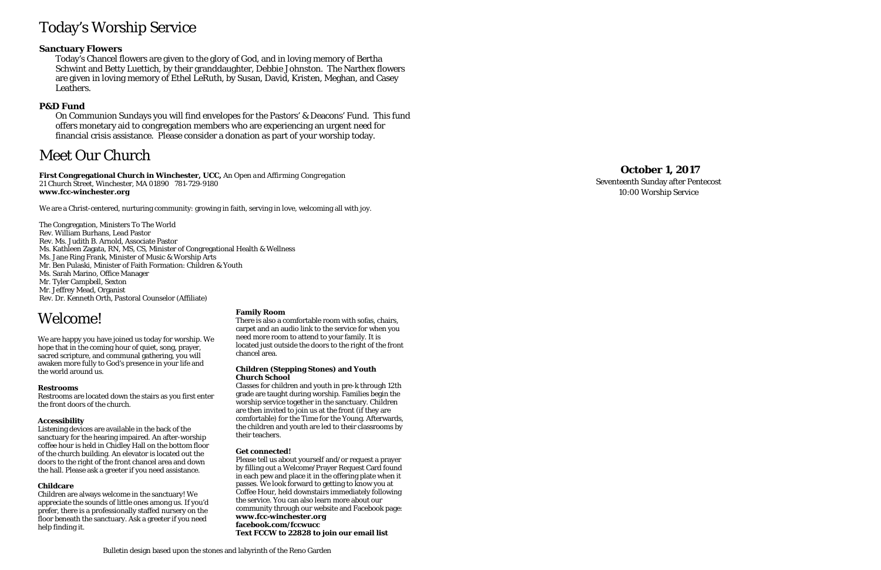# Today's Worship Service

### **Sanctuary Flowers**

Today's Chancel flowers are given to the glory of God, and in loving memory of Bertha Schwint and Betty Luettich , by their granddaughter, Debbie Johnston. The Narthex flowers are given in loving memory of Ethel LeRuth, by Susan, David, Kristen, Meghan, and Casey Leathers.

### **P&D Fund**

On Communion Sundays you will find envelopes for the Pastors' & Deacons' Fund. This fund offers monetary aid to congregation members who are experiencing an urgent need for financial crisis assistance. Please consider a donation as part of your worship today.

# Meet Our Church

**First Congregational Church in Winchester, UCC,** *An Open and Affirming Congregation* 21 Church Street, Winchester, MA 01890 781 -729 -9180 **www.fcc -winchester.org**

We are a Christ -centered, nurturing community: growing in faith, serving in love, welcoming all with joy.

The Congregation, Ministers To The World Rev. William Burhans, Lead Pastor Rev. Ms. Judith B. Arnold, Associate Pastor Ms. Kathleen Zagata, RN, MS, CS, Minister of Congregational Health & Wellness Ms. Jane Ring Frank, Minister of Music & Worship Arts Mr. Ben Pulaski, Minister of Faith Formation: Children & Youth Ms. Sarah Marino, Office Manager Mr. Tyler Campbell, Sexton Mr. Jeffrey Mead, Organist Rev. Dr. Kenneth Orth, Pastoral Counselor (Affiliate)

# **October 1 , 2017**

Seventeenth Sunday after Pentecost 10:00 Worship Service

# Welcome!

We are happy you have joined us today for worship. We hope that in the coming hour of quiet, song, prayer, sacred scripture, and communal gathering, you will awaken more fully to God's presence in your life and the world around us.

#### **Restrooms**

Restrooms are located down the stairs as you first enter the front doors of the church.

#### **Accessibility**

Listening devices are available in the back of the sanctuary for the hearing impaired. An after -worship coffee hour is held in Chidley Hall on the bottom floor of the church building. An elevator is located out the doors to the right of the front chancel area and down the hall. Please ask a greeter if you need assistance.

#### **Childcare**

Children are always welcome in the sanctuary! We appreciate the sounds of little ones among us. If you'd prefer, there is a professionally staffed nursery on the floor beneath the sanctuary. Ask a greeter if you need help finding it.

#### **Family Room**

There is also a comfortable room with sofas, chairs, carpet and an audio link to the service for when you need more room to attend to your family. It is located just outside the doors to the right of the front chancel area.

#### **Children (Stepping Stones) and Youth Church School**

Classes for children and youth in pre -k through 12th grade are taught during worship. Families begin the worship service together in the sanctuary. Children are then invited to join us at the front (if they are comfortable) for the Time for the Young. Afterwards, the children and youth are led to their classrooms by their teachers.

#### **Get connected!**

Please tell us about yourself and/or request a prayer by filling out a Welcome/Prayer Request Card found in each pew and place it in the offering plate when it passes. We look forward to getting to know you at Coffee Hour, held downstairs immediately following the service. You can also learn more about our community through our website and Facebook page: **www.fcc -winchester.org facebook.com/fccwucc Text FCCW to 22828 to join our email list**